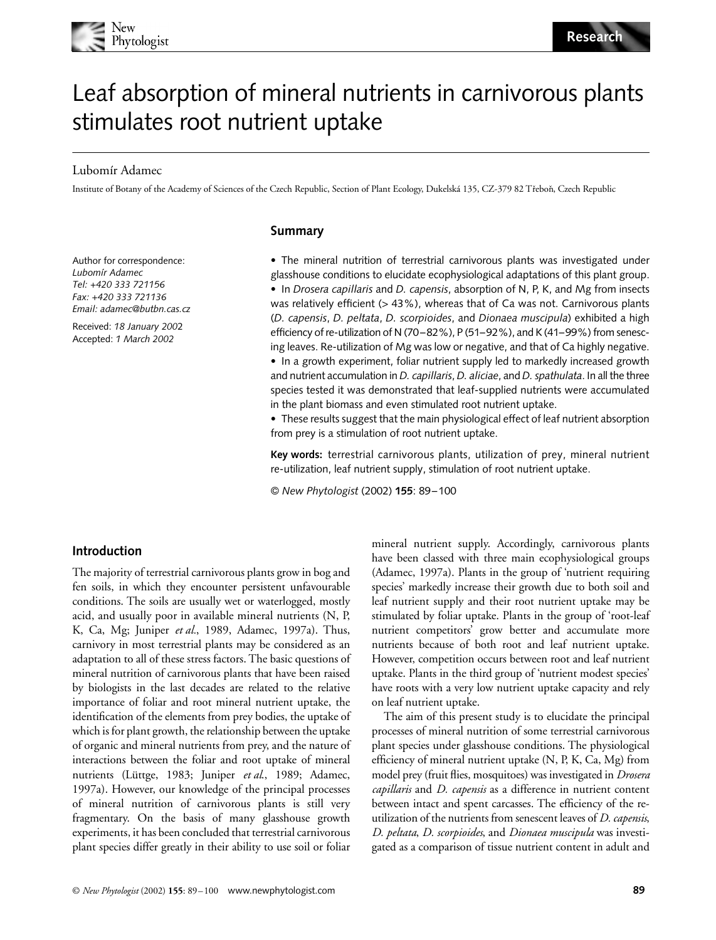

# Leaf absorption of mineral nutrients in carnivorous plants stimulates root nutrient uptake

#### Lubomír Adamec

Institute of Botany of the Academy of Sciences of the Czech Republic, Section of Plant Ecology, Dukelská 135, CZ-379 82 Třeboň, Czech Republic

#### **Summary**

Author for correspondence: *Lubomír Adamec Tel: +420 333 721156 Fax: +420 333 721136 Email: adamec@butbn.cas.cz*

Received: *18 January 200*2 Accepted: *1 March 2002*

• The mineral nutrition of terrestrial carnivorous plants was investigated under glasshouse conditions to elucidate ecophysiological adaptations of this plant group. • In *Drosera capillaris* and *D. capensis*, absorption of N, P, K, and Mg from insects was relatively efficient (> 43%), whereas that of Ca was not. Carnivorous plants (*D. capensis*, *D. peltata*, *D. scorpioides*, and *Dionaea muscipula*) exhibited a high efficiency of re-utilization of N (70–82%), P (51–92%), and K (41–99%) from senescing leaves. Re-utilization of Mg was low or negative, and that of Ca highly negative.

• In a growth experiment, foliar nutrient supply led to markedly increased growth and nutrient accumulation in *D. capillaris*, *D. aliciae*, and *D. spathulata*. In all the three species tested it was demonstrated that leaf-supplied nutrients were accumulated in the plant biomass and even stimulated root nutrient uptake.

• These results suggest that the main physiological effect of leaf nutrient absorption from prey is a stimulation of root nutrient uptake.

**Key words:** terrestrial carnivorous plants, utilization of prey, mineral nutrient re-utilization, leaf nutrient supply, stimulation of root nutrient uptake.

© *New Phytologist* (2002) **155**: 89–100

#### **Introduction**

The majority of terrestrial carnivorous plants grow in bog and fen soils, in which they encounter persistent unfavourable conditions. The soils are usually wet or waterlogged, mostly acid, and usually poor in available mineral nutrients (N, P, K, Ca, Mg; Juniper *et al.*, 1989, Adamec, 1997a). Thus, carnivory in most terrestrial plants may be considered as an adaptation to all of these stress factors. The basic questions of mineral nutrition of carnivorous plants that have been raised by biologists in the last decades are related to the relative importance of foliar and root mineral nutrient uptake, the identification of the elements from prey bodies, the uptake of which is for plant growth, the relationship between the uptake of organic and mineral nutrients from prey, and the nature of interactions between the foliar and root uptake of mineral nutrients (Lüttge, 1983; Juniper *et al*., 1989; Adamec, 1997a). However, our knowledge of the principal processes of mineral nutrition of carnivorous plants is still very fragmentary. On the basis of many glasshouse growth experiments, it has been concluded that terrestrial carnivorous plant species differ greatly in their ability to use soil or foliar

mineral nutrient supply. Accordingly, carnivorous plants have been classed with three main ecophysiological groups (Adamec, 1997a). Plants in the group of 'nutrient requiring species' markedly increase their growth due to both soil and leaf nutrient supply and their root nutrient uptake may be stimulated by foliar uptake. Plants in the group of 'root-leaf nutrient competitors' grow better and accumulate more nutrients because of both root and leaf nutrient uptake. However, competition occurs between root and leaf nutrient uptake. Plants in the third group of 'nutrient modest species' have roots with a very low nutrient uptake capacity and rely on leaf nutrient uptake.

The aim of this present study is to elucidate the principal processes of mineral nutrition of some terrestrial carnivorous plant species under glasshouse conditions. The physiological efficiency of mineral nutrient uptake (N, P, K, Ca, Mg) from model prey (fruit flies, mosquitoes) was investigated in *Drosera capillaris* and *D. capensis* as a difference in nutrient content between intact and spent carcasses. The efficiency of the reutilization of the nutrients from senescent leaves of *D. capensis*, *D. peltata*, *D. scorpioides*, and *Dionaea muscipula* was investigated as a comparison of tissue nutrient content in adult and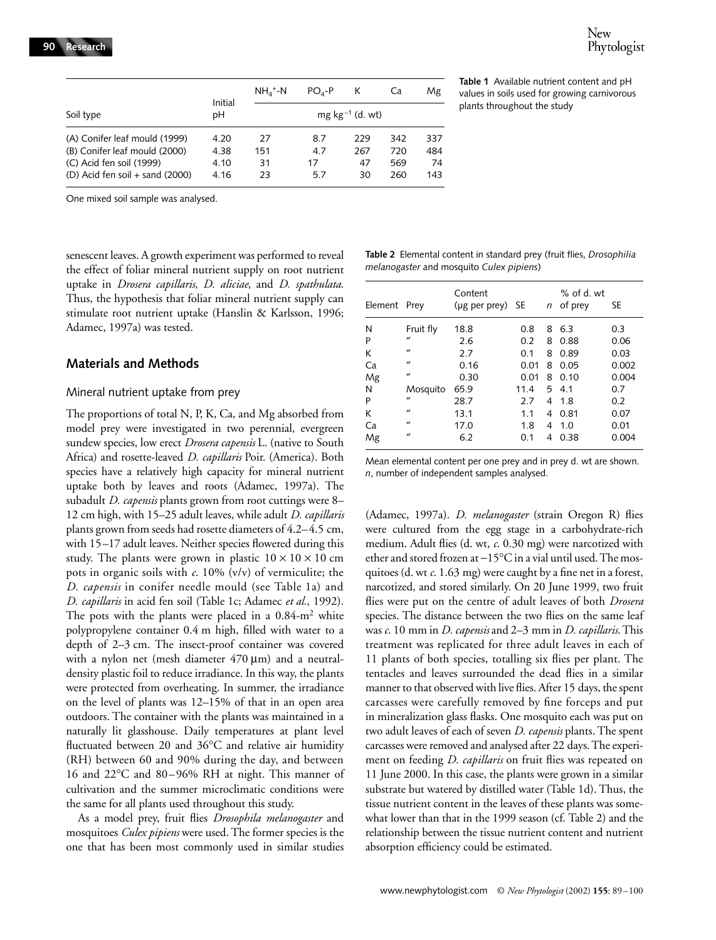|                                                                                                                                 | Initial                      | $NHA$ <sup>+</sup> -N | $POA-P$                 | К                       | Ca                       | Mg                       |
|---------------------------------------------------------------------------------------------------------------------------------|------------------------------|-----------------------|-------------------------|-------------------------|--------------------------|--------------------------|
| Soil type                                                                                                                       | рH                           |                       |                         | $mg \, kg^{-1}$ (d. wt) |                          |                          |
| (A) Conifer leaf mould (1999)<br>(B) Conifer leaf mould (2000)<br>(C) Acid fen soil (1999)<br>(D) Acid fen soil $+$ sand (2000) | 4.20<br>4.38<br>4.10<br>4.16 | 27<br>151<br>31<br>23 | 8.7<br>4.7<br>17<br>5.7 | 229<br>267<br>47<br>30  | 342<br>720<br>569<br>260 | 337<br>484<br>-74<br>143 |

**Table 1** Available nutrient content and pH values in soils used for growing carnivorous plants throughout the study

One mixed soil sample was analysed.

senescent leaves. A growth experiment was performed to reveal the effect of foliar mineral nutrient supply on root nutrient uptake in *Drosera capillaris*, *D. aliciae*, and *D. spathulata*. Thus, the hypothesis that foliar mineral nutrient supply can stimulate root nutrient uptake (Hanslin & Karlsson, 1996; Adamec, 1997a) was tested.

#### **Materials and Methods**

#### Mineral nutrient uptake from prey

The proportions of total N, P, K, Ca, and Mg absorbed from model prey were investigated in two perennial, evergreen sundew species, low erect *Drosera capensis* L. (native to South Africa) and rosette-leaved *D. capillaris* Poir. (America). Both species have a relatively high capacity for mineral nutrient uptake both by leaves and roots (Adamec, 1997a). The subadult *D. capensis* plants grown from root cuttings were 8– 12 cm high, with 15–25 adult leaves, while adult *D. capillaris* plants grown from seeds had rosette diameters of 4.2–4.5 cm, with 15–17 adult leaves. Neither species flowered during this study. The plants were grown in plastic  $10 \times 10 \times 10$  cm pots in organic soils with *c*. 10% (v/v) of vermiculite; the *D. capensis* in conifer needle mould (see Table 1a) and *D. capillaris* in acid fen soil (Table 1c; Adamec *et al.*, 1992). The pots with the plants were placed in a  $0.84\text{-m}^2$  white polypropylene container 0.4 m high, filled with water to a depth of 2–3 cm. The insect-proof container was covered with a nylon net (mesh diameter  $470 \,\mu m$ ) and a neutraldensity plastic foil to reduce irradiance. In this way, the plants were protected from overheating. In summer, the irradiance on the level of plants was 12–15% of that in an open area outdoors. The container with the plants was maintained in a naturally lit glasshouse. Daily temperatures at plant level fluctuated between 20 and 36°C and relative air humidity (RH) between 60 and 90% during the day, and between 16 and 22°C and 80–96% RH at night. This manner of cultivation and the summer microclimatic conditions were the same for all plants used throughout this study.

As a model prey, fruit flies *Drosophila melanogaster* and mosquitoes *Culex pipiens* were used. The former species is the one that has been most commonly used in similar studies

**Table 2** Elemental content in standard prey (fruit flies, *Drosophilia melanogaster* and mosquito *Culex pipiens*)

|         | Prey              | Content<br>(µg per prey) SE |      |   | $%$ of d. wt |       |
|---------|-------------------|-----------------------------|------|---|--------------|-------|
| Element |                   |                             |      | n | of prey      | SE    |
| N       | Fruit fly         | 18.8                        | 0.8  | 8 | 6.3          | 0.3   |
| P       | $^{\prime\prime}$ | 2.6                         | 0.2  | 8 | 0.88         | 0.06  |
| К       | $^{\prime\prime}$ | 2.7                         | 0.1  | 8 | 0.89         | 0.03  |
| Ca      | $^{\prime\prime}$ | 0.16                        | 0.01 | 8 | 0.05         | 0.002 |
| Mg      | $^{\prime\prime}$ | 0.30                        | 0.01 | 8 | 0.10         | 0.004 |
| N       | Mosquito          | 65.9                        | 11.4 | 5 | 4.1          | 0.7   |
| P       | $^{\prime\prime}$ | 28.7                        | 2.7  | 4 | 1.8          | 0.2   |
| К       | $^{\prime\prime}$ | 13.1                        | 1.1  | 4 | 0.81         | 0.07  |
| Ca      | $^{\prime\prime}$ | 17.0                        | 1.8  | 4 | 1.0          | 0.01  |
| Mg      | $^{\prime\prime}$ | 6.2                         | 0.1  | 4 | 0.38         | 0.004 |

Mean elemental content per one prey and in prey d. wt are shown. *n*, number of independent samples analysed.

(Adamec, 1997a). *D. melanogaster* (strain Oregon R) flies were cultured from the egg stage in a carbohydrate-rich medium. Adult flies (d. wt, *c*. 0.30 mg) were narcotized with ether and stored frozen at −15°C in a vial until used. The mosquitoes (d. wt *c*. 1.63 mg) were caught by a fine net in a forest, narcotized, and stored similarly. On 20 June 1999, two fruit flies were put on the centre of adult leaves of both *Drosera* species. The distance between the two flies on the same leaf was *c*. 10 mm in *D. capensis* and 2–3 mm in *D. capillaris*. This treatment was replicated for three adult leaves in each of 11 plants of both species, totalling six flies per plant. The tentacles and leaves surrounded the dead flies in a similar manner to that observed with live flies. After 15 days, the spent carcasses were carefully removed by fine forceps and put in mineralization glass flasks. One mosquito each was put on two adult leaves of each of seven *D. capensis* plants. The spent carcasses were removed and analysed after 22 days. The experiment on feeding *D. capillaris* on fruit flies was repeated on 11 June 2000. In this case, the plants were grown in a similar substrate but watered by distilled water (Table 1d). Thus, the tissue nutrient content in the leaves of these plants was somewhat lower than that in the 1999 season (cf. Table 2) and the relationship between the tissue nutrient content and nutrient absorption efficiency could be estimated.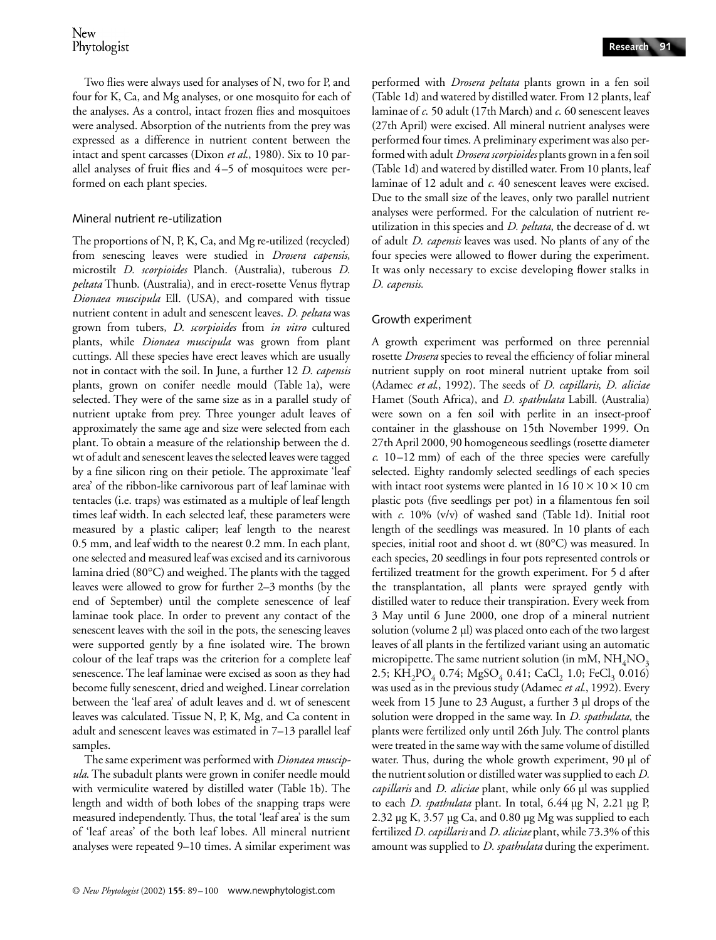Two flies were always used for analyses of N, two for P, and four for K, Ca, and Mg analyses, or one mosquito for each of the analyses. As a control, intact frozen flies and mosquitoes were analysed. Absorption of the nutrients from the prey was expressed as a difference in nutrient content between the intact and spent carcasses (Dixon *et al*., 1980). Six to 10 parallel analyses of fruit flies and 4–5 of mosquitoes were performed on each plant species.

#### Mineral nutrient re-utilization

The proportions of N, P, K, Ca, and Mg re-utilized (recycled) from senescing leaves were studied in *Drosera capensis*, microstilt *D. scorpioides* Planch. (Australia), tuberous *D. peltata* Thunb. (Australia), and in erect-rosette Venus flytrap *Dionaea muscipula* Ell. (USA), and compared with tissue nutrient content in adult and senescent leaves. *D. peltata* was grown from tubers, *D. scorpioides* from *in vitro* cultured plants, while *Dionaea muscipula* was grown from plant cuttings. All these species have erect leaves which are usually not in contact with the soil. In June, a further 12 *D. capensis* plants, grown on conifer needle mould (Table 1a), were selected. They were of the same size as in a parallel study of nutrient uptake from prey. Three younger adult leaves of approximately the same age and size were selected from each plant. To obtain a measure of the relationship between the d. wt of adult and senescent leaves the selected leaves were tagged by a fine silicon ring on their petiole. The approximate 'leaf area' of the ribbon-like carnivorous part of leaf laminae with tentacles (i.e. traps) was estimated as a multiple of leaf length times leaf width. In each selected leaf, these parameters were measured by a plastic caliper; leaf length to the nearest 0.5 mm, and leaf width to the nearest 0.2 mm. In each plant, one selected and measured leaf was excised and its carnivorous lamina dried (80°C) and weighed. The plants with the tagged leaves were allowed to grow for further 2–3 months (by the end of September) until the complete senescence of leaf laminae took place. In order to prevent any contact of the senescent leaves with the soil in the pots, the senescing leaves were supported gently by a fine isolated wire. The brown colour of the leaf traps was the criterion for a complete leaf senescence. The leaf laminae were excised as soon as they had become fully senescent, dried and weighed. Linear correlation between the 'leaf area' of adult leaves and d. wt of senescent leaves was calculated. Tissue N, P, K, Mg, and Ca content in adult and senescent leaves was estimated in 7–13 parallel leaf samples.

The same experiment was performed with *Dionaea muscipula*. The subadult plants were grown in conifer needle mould with vermiculite watered by distilled water (Table 1b). The length and width of both lobes of the snapping traps were measured independently. Thus, the total 'leaf area' is the sum of 'leaf areas' of the both leaf lobes. All mineral nutrient analyses were repeated 9–10 times. A similar experiment was

performed with *Drosera peltata* plants grown in a fen soil (Table 1d) and watered by distilled water. From 12 plants, leaf laminae of *c*. 50 adult (17th March) and *c*. 60 senescent leaves (27th April) were excised. All mineral nutrient analyses were performed four times. A preliminary experiment was also performed with adult *Drosera scorpioides* plants grown in a fen soil (Table 1d) and watered by distilled water. From 10 plants, leaf laminae of 12 adult and *c*. 40 senescent leaves were excised. Due to the small size of the leaves, only two parallel nutrient analyses were performed. For the calculation of nutrient reutilization in this species and *D. peltata*, the decrease of d. wt of adult *D. capensis* leaves was used. No plants of any of the four species were allowed to flower during the experiment. It was only necessary to excise developing flower stalks in *D. capensis.*

# Growth experiment

A growth experiment was performed on three perennial rosette *Drosera* species to reveal the efficiency of foliar mineral nutrient supply on root mineral nutrient uptake from soil (Adamec *et al*., 1992). The seeds of *D. capillaris*, *D. aliciae* Hamet (South Africa), and *D. spathulata* Labill. (Australia) were sown on a fen soil with perlite in an insect-proof container in the glasshouse on 15th November 1999. On 27th April 2000, 90 homogeneous seedlings (rosette diameter *c*. 10–12 mm) of each of the three species were carefully selected. Eighty randomly selected seedlings of each species with intact root systems were planted in  $1610 \times 10 \times 10$  cm plastic pots (five seedlings per pot) in a filamentous fen soil with *c*. 10% (v/v) of washed sand (Table 1d). Initial root length of the seedlings was measured. In 10 plants of each species, initial root and shoot d. wt (80°C) was measured. In each species, 20 seedlings in four pots represented controls or fertilized treatment for the growth experiment. For 5 d after the transplantation, all plants were sprayed gently with distilled water to reduce their transpiration. Every week from 3 May until 6 June 2000, one drop of a mineral nutrient solution (volume 2 µl) was placed onto each of the two largest leaves of all plants in the fertilized variant using an automatic micropipette. The same nutrient solution (in mM,  $NH<sub>4</sub>NO<sub>3</sub>$ ) 2.5; KH<sub>2</sub>PO<sub>4</sub> 0.74; MgSO<sub>4</sub> 0.41; CaCl<sub>2</sub> 1.0; FeCl<sub>3</sub> 0.016) was used as in the previous study (Adamec *et al*., 1992). Every week from 15 June to 23 August, a further 3 µl drops of the solution were dropped in the same way. In *D. spathulata*, the plants were fertilized only until 26th July. The control plants were treated in the same way with the same volume of distilled water. Thus, during the whole growth experiment, 90 µl of the nutrient solution or distilled water was supplied to each *D. capillaris* and *D. aliciae* plant, while only 66 µl was supplied to each *D. spathulata* plant. In total, 6.44 µg N, 2.21 µg P, 2.32 µg K, 3.57 µg Ca, and 0.80 µg Mg was supplied to each fertilized *D. capillaris* and *D. aliciae* plant, while 73.3% of this amount was supplied to *D. spathulata* during the experiment.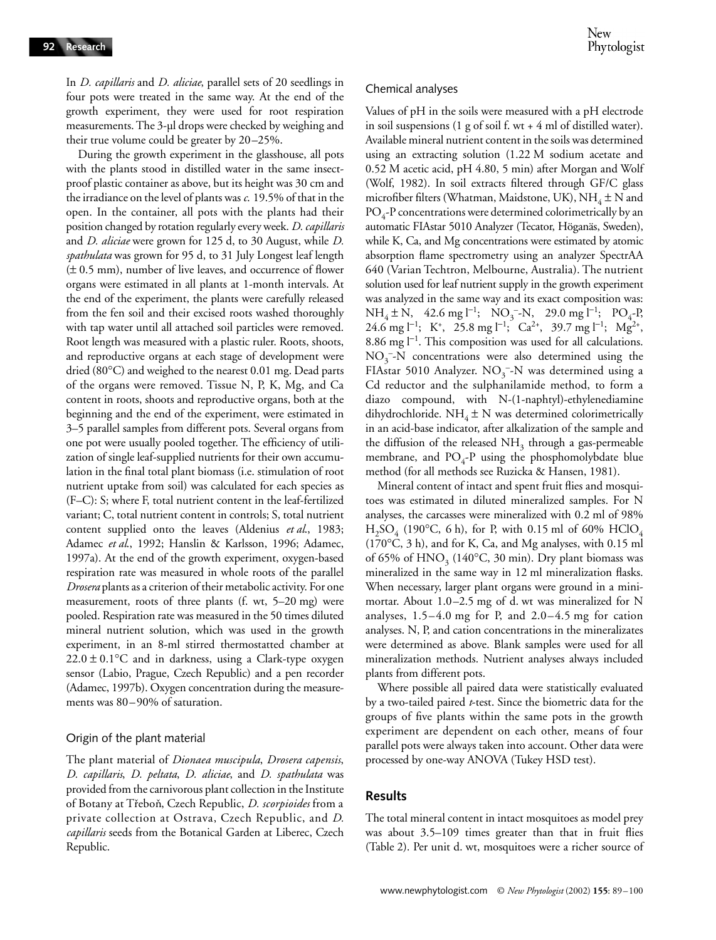New Phytologist

In *D. capillaris* and *D. aliciae*, parallel sets of 20 seedlings in four pots were treated in the same way. At the end of the growth experiment, they were used for root respiration measurements. The 3-µl drops were checked by weighing and their true volume could be greater by 20–25%.

During the growth experiment in the glasshouse, all pots with the plants stood in distilled water in the same insectproof plastic container as above, but its height was 30 cm and the irradiance on the level of plants was *c*. 19.5% of that in the open. In the container, all pots with the plants had their position changed by rotation regularly every week. *D. capillaris* and *D. aliciae* were grown for 125 d, to 30 August, while *D. spathulata* was grown for 95 d, to 31 July Longest leaf length (± 0.5 mm), number of live leaves, and occurrence of flower organs were estimated in all plants at 1-month intervals. At the end of the experiment, the plants were carefully released from the fen soil and their excised roots washed thoroughly with tap water until all attached soil particles were removed. Root length was measured with a plastic ruler. Roots, shoots, and reproductive organs at each stage of development were dried (80°C) and weighed to the nearest 0.01 mg. Dead parts of the organs were removed. Tissue N, P, K, Mg, and Ca content in roots, shoots and reproductive organs, both at the beginning and the end of the experiment, were estimated in 3–5 parallel samples from different pots. Several organs from one pot were usually pooled together. The efficiency of utilization of single leaf-supplied nutrients for their own accumulation in the final total plant biomass (i.e. stimulation of root nutrient uptake from soil) was calculated for each species as (F–C): S; where F, total nutrient content in the leaf-fertilized variant; C, total nutrient content in controls; S, total nutrient content supplied onto the leaves (Aldenius *et al*., 1983; Adamec *et al*., 1992; Hanslin & Karlsson, 1996; Adamec, 1997a). At the end of the growth experiment, oxygen-based respiration rate was measured in whole roots of the parallel *Drosera* plants as a criterion of their metabolic activity. For one measurement, roots of three plants (f. wt, 5–20 mg) were pooled. Respiration rate was measured in the 50 times diluted mineral nutrient solution, which was used in the growth experiment, in an 8-ml stirred thermostatted chamber at  $22.0 \pm 0.1$  °C and in darkness, using a Clark-type oxygen sensor (Labio, Prague, Czech Republic) and a pen recorder (Adamec, 1997b). Oxygen concentration during the measurements was 80–90% of saturation.

#### Origin of the plant material

The plant material of *Dionaea muscipula*, *Drosera capensis*, *D. capillaris*, *D. peltata*, *D. aliciae*, and *D. spathulata* was provided from the carnivorous plant collection in the Institute of Botany at Trebonˇ, Czech Republic, *D. scorpioides* from a private collection at Ostrava, Czech Republic, and *D. capillaris* seeds from the Botanical Garden at Liberec, Czech Republic.

#### Chemical analyses

Values of pH in the soils were measured with a pH electrode in soil suspensions (1 g of soil f. wt  $+$  4 ml of distilled water). Available mineral nutrient content in the soils was determined using an extracting solution (1.22 M sodium acetate and 0.52 M acetic acid, pH 4.80, 5 min) after Morgan and Wolf (Wolf, 1982). In soil extracts filtered through GF/C glass microfiber filters (Whatman, Maidstone, UK),  $NH_4 \pm N$  and  $PO_4$ -P concentrations were determined colorimetrically by an automatic FIAstar 5010 Analyzer (Tecator, Höganäs, Sweden), while K, Ca, and Mg concentrations were estimated by atomic absorption flame spectrometry using an analyzer SpectrAA 640 (Varian Techtron, Melbourne, Australia). The nutrient solution used for leaf nutrient supply in the growth experiment was analyzed in the same way and its exact composition was:  $NH_4 \pm N$ , 42.6 mg l<sup>-1</sup>; NO<sub>3</sub><sup>-</sup>-N, 29.0 mg l<sup>-1</sup>; PO<sub>4</sub>-P, 24.6 mg l<sup>-1</sup>; K<sup>+</sup>, 25.8 mg l<sup>-1</sup>; Ca<sup>2+</sup>, 39.7 mg l<sup>-1</sup>; Mg<sup>2+</sup>, 8.86 mg l<sup>-1</sup>. This composition was used for all calculations.  $NO<sub>3</sub><sup>-</sup>-N$  concentrations were also determined using the FIAstar 5010 Analyzer.  $NO_3^-$ -N was determined using a Cd reductor and the sulphanilamide method, to form a diazo compound, with N-(1-naphtyl)-ethylenediamine dihydrochloride. NH<sub>4</sub>  $\pm$  N was determined colorimetrically in an acid-base indicator, after alkalization of the sample and the diffusion of the released  $NH<sub>3</sub>$  through a gas-permeable membrane, and  $PO_4-P$  using the phosphomolybdate blue method (for all methods see Ruzicka & Hansen, 1981).

Mineral content of intact and spent fruit flies and mosquitoes was estimated in diluted mineralized samples. For N analyses, the carcasses were mineralized with 0.2 ml of 98%  $H_2SO_4$  (190°C, 6 h), for P, with 0.15 ml of 60% HClO<sub>4</sub> (170°C, 3 h), and for K, Ca, and Mg analyses, with 0.15 ml of 65% of  $HNO<sub>3</sub>$  (140°C, 30 min). Dry plant biomass was mineralized in the same way in 12 ml mineralization flasks. When necessary, larger plant organs were ground in a minimortar. About 1.0–2.5 mg of d. wt was mineralized for N analyses,  $1.5-4.0$  mg for P, and  $2.0-4.5$  mg for cation analyses. N, P, and cation concentrations in the mineralizates were determined as above. Blank samples were used for all mineralization methods. Nutrient analyses always included plants from different pots.

Where possible all paired data were statistically evaluated by a two-tailed paired *t*-test. Since the biometric data for the groups of five plants within the same pots in the growth experiment are dependent on each other, means of four parallel pots were always taken into account. Other data were processed by one-way ANOVA (Tukey HSD test).

#### **Results**

The total mineral content in intact mosquitoes as model prey was about 3.5–109 times greater than that in fruit flies (Table 2). Per unit d. wt, mosquitoes were a richer source of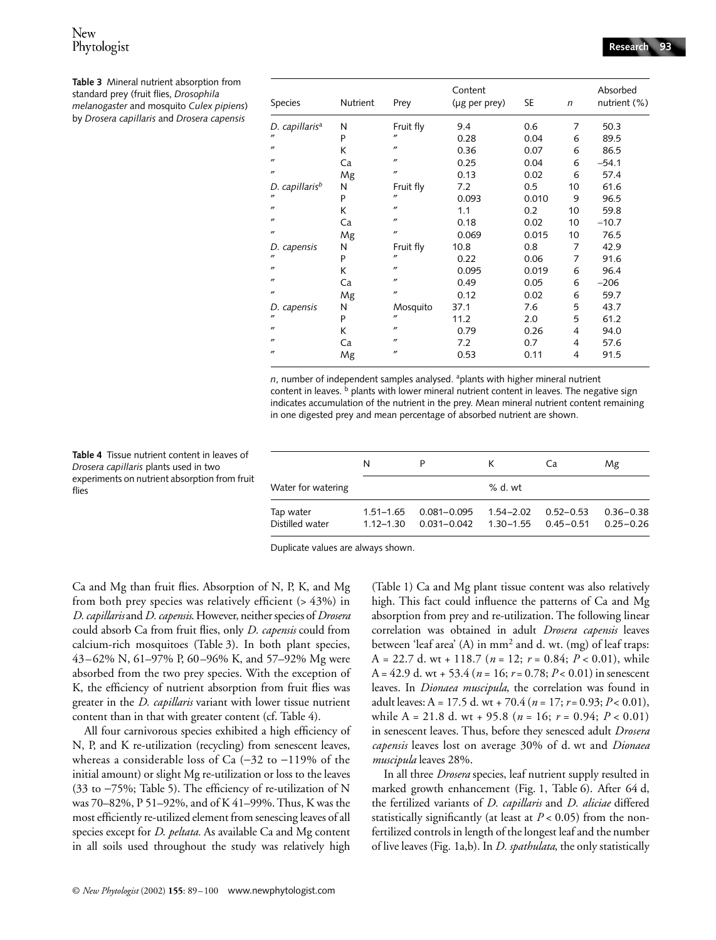| Species                    | Nutrient | Prey              | Content<br>(µg per prey) | SE    | $\mathsf{n}$   | Absorbed<br>nutrient (%) |  |
|----------------------------|----------|-------------------|--------------------------|-------|----------------|--------------------------|--|
| D. capillaris <sup>a</sup> | N        | Fruit fly         | 9.4                      | 0.6   | 7              | 50.3                     |  |
| $^{\prime\prime}$          | P        | $^{\prime\prime}$ | 0.28                     | 0.04  | 6              | 89.5                     |  |
| $^{\prime\prime}$          | К        | $^{\prime\prime}$ | 0.36                     | 0.07  | 6              | 86.5                     |  |
| $^{\prime\prime}$          | Ca       | $^{\prime\prime}$ | 0.25                     | 0.04  | 6              | $-54.1$                  |  |
| $^{\prime\prime}$          | Mg       | $^{\prime\prime}$ | 0.13                     | 0.02  | 6              | 57.4                     |  |
| D. capillaris <sup>b</sup> | N        | Fruit fly         | 7.2                      | 0.5   | 10             | 61.6                     |  |
| $^{\prime\prime}$          | P        | $^{\prime\prime}$ | 0.093                    | 0.010 | 9              | 96.5                     |  |
| $^{\prime\prime}$          | K        | $^{\prime\prime}$ | 1.1                      | 0.2   | 10             | 59.8                     |  |
| $^{\prime\prime}$          | Ca       | $^{\prime\prime}$ | 0.18                     | 0.02  | 10             | $-10.7$                  |  |
| $^{\prime\prime}$          | Mg       | $^{\prime\prime}$ | 0.069                    | 0.015 | 10             | 76.5                     |  |
| D. capensis                | N        | Fruit fly         | 10.8                     | 0.8   | 7              | 42.9                     |  |
| $^{\prime\prime}$          | P        | $^{\prime\prime}$ | 0.22                     | 0.06  | 7              | 91.6                     |  |
| $^{\prime\prime}$          | K        | $^{\prime\prime}$ | 0.095                    | 0.019 | 6              | 96.4                     |  |
| $^{\prime\prime}$          | Ca       | $^{\prime\prime}$ | 0.49                     | 0.05  | 6              | $-206$                   |  |
| $^{\prime\prime}$          | Mg       | $^{\prime\prime}$ | 0.12                     | 0.02  | 6              | 59.7                     |  |
| D. capensis                | N        | Mosquito          | 37.1                     | 7.6   | 5              | 43.7                     |  |
| $^{\prime\prime}$          | P        | $^{\prime\prime}$ | 11.2                     | 2.0   | 5              | 61.2                     |  |
| $^{\prime\prime}$          | К        | $^{\prime\prime}$ | 0.79                     | 0.26  | 4              | 94.0                     |  |
| $^{\prime\prime}$          | Ca       | $^{\prime\prime}$ | 7.2                      | 0.7   | $\overline{4}$ | 57.6                     |  |
| $^{\prime\prime}$          | Mg       | $^{\prime\prime}$ | 0.53                     | 0.11  | 4              | 91.5                     |  |

n, number of independent samples analysed. <sup>a</sup>plants with higher mineral nutrient content in leaves.  $\frac{b}{c}$  plants with lower mineral nutrient content in leaves. The negative sign indicates accumulation of the nutrient in the prey. Mean mineral nutrient content remaining in one digested prey and mean percentage of absorbed nutrient are shown.

**Table 4** Tissue nutrient content in leaves of *Drosera capillaris* plants used in two experiments on nutrient absorption from fruit flies

|                              | N                              |                                | к                          | Ca                         | Mg                             |
|------------------------------|--------------------------------|--------------------------------|----------------------------|----------------------------|--------------------------------|
| Water for watering           |                                |                                | $%$ d. wt                  |                            |                                |
| Tap water<br>Distilled water | $1.51 - 1.65$<br>$1.12 - 1.30$ | $0.081 - 0.095$<br>0.031-0.042 | $1.54 - 2.02$<br>1.30–1.55 | $0.52 - 0.53$<br>0.45-0.51 | $0.36 - 0.38$<br>$0.25 - 0.26$ |

Duplicate values are always shown.

Ca and Mg than fruit flies. Absorption of N, P, K, and Mg from both prey species was relatively efficient (> 43%) in *D. capillaris* and *D. capensis*. However, neither species of *Drosera* could absorb Ca from fruit flies, only *D. capensis* could from calcium-rich mosquitoes (Table 3). In both plant species, 43–62% N, 61–97% P, 60–96% K, and 57–92% Mg were absorbed from the two prey species. With the exception of K, the efficiency of nutrient absorption from fruit flies was greater in the *D. capillaris* variant with lower tissue nutrient content than in that with greater content (cf. Table 4).

All four carnivorous species exhibited a high efficiency of N, P, and K re-utilization (recycling) from senescent leaves, whereas a considerable loss of Ca (−32 to −119% of the initial amount) or slight Mg re-utilization or loss to the leaves (33 to −75%; Table 5). The efficiency of re-utilization of N was 70–82%, P 51–92%, and of K 41–99%. Thus, K was the most efficiently re-utilized element from senescing leaves of all species except for *D*. *peltata.* As available Ca and Mg content in all soils used throughout the study was relatively high

(Table 1) Ca and Mg plant tissue content was also relatively high. This fact could influence the patterns of Ca and Mg absorption from prey and re-utilization. The following linear correlation was obtained in adult *Drosera capensis* leaves between 'leaf area'  $(A)$  in mm<sup>2</sup> and d. wt. (mg) of leaf traps: A = 22.7 d. wt + 118.7 (*n* = 12; *r* = 0.84; *P* < 0.01), while A =  $42.9$  d. wt +  $53.4$  ( $n = 16$ ;  $r = 0.78$ ;  $P < 0.01$ ) in senescent leaves. In *Dionaea muscipula*, the correlation was found in adult leaves: A = 17.5 d. wt + 70.4 (*n* = 17; *r* = 0.93; *P* < 0.01), while A = 21.8 d. wt + 95.8 (*n* = 16; *r* = 0.94; *P* < 0.01) in senescent leaves. Thus, before they senesced adult *Drosera capensis* leaves lost on average 30% of d. wt and *Dionaea muscipula* leaves 28%.

In all three *Drosera* species, leaf nutrient supply resulted in marked growth enhancement (Fig. 1, Table 6). After 64 d, the fertilized variants of *D. capillaris* and *D. aliciae* differed statistically significantly (at least at  $P < 0.05$ ) from the nonfertilized controls in length of the longest leaf and the number of live leaves (Fig. 1a,b). In *D. spathulata*, the only statistically

*melanogaster* and mosquito *Culex pipiens*) by *Drosera capillaris* and *Drosera capensis*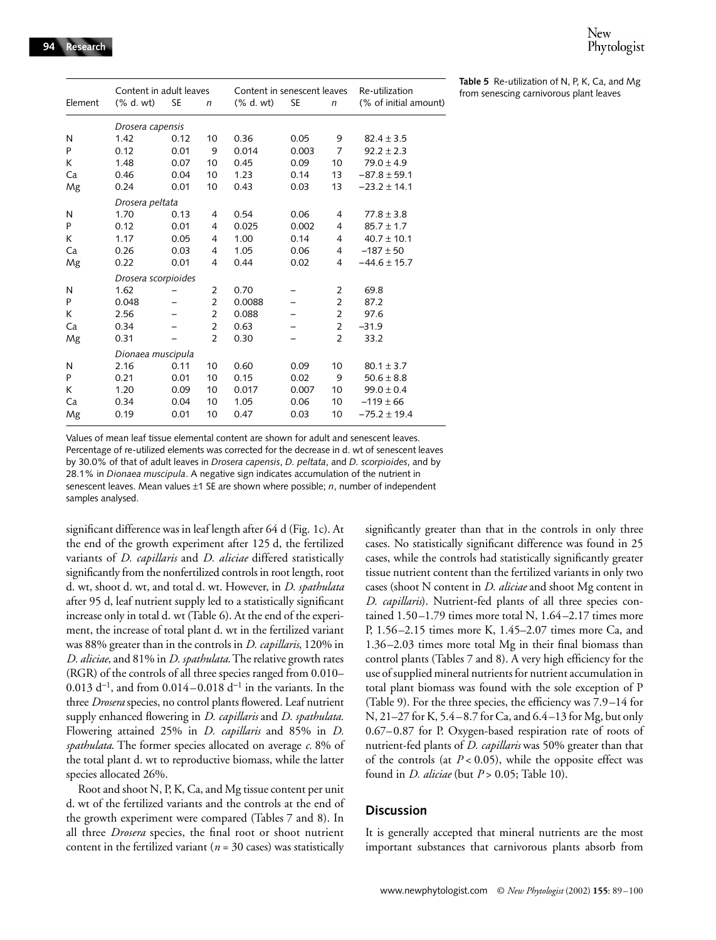**Table 5** Re-utilization of N, P, K, Ca, and Mg from senescing carnivorous plant leaves

|         | Content in adult leaves |           |                | Content in senescent leaves |           |                | Re-utilization        |
|---------|-------------------------|-----------|----------------|-----------------------------|-----------|----------------|-----------------------|
| Element | $(\%$ d. wt)            | <b>SE</b> | $\mathsf{n}$   | $(\%$ d. wt)                | <b>SE</b> | $\mathsf{n}$   | (% of initial amount) |
|         | Drosera capensis        |           |                |                             |           |                |                       |
| N       | 1.42                    | 0.12      | 10             | 0.36                        | 0.05      | 9              | $82.4 \pm 3.5$        |
| P       | 0.12                    | 0.01      | 9              | 0.014                       | 0.003     | $\overline{7}$ | $92.2 \pm 2.3$        |
| К       | 1.48                    | 0.07      | 10             | 0.45                        | 0.09      | 10             | $79.0 \pm 4.9$        |
| Ca      | 0.46                    | 0.04      | 10             | 1.23                        | 0.14      | 13             | $-87.8 \pm 59.1$      |
| Mg      | 0.24                    | 0.01      | 10             | 0.43                        | 0.03      | 13             | $-23.2 \pm 14.1$      |
|         | Drosera peltata         |           |                |                             |           |                |                       |
| N       | 1.70                    | 0.13      | $\overline{4}$ | 0.54                        | 0.06      | 4              | $77.8 \pm 3.8$        |
| P       | 0.12                    | 0.01      | 4              | 0.025                       | 0.002     | 4              | $85.7 \pm 1.7$        |
| K       | 1.17                    | 0.05      | 4              | 1.00                        | 0.14      | 4              | $40.7 \pm 10.1$       |
| Ca      | 0.26                    | 0.03      | 4              | 1.05                        | 0.06      | 4              | $-187 \pm 50$         |
| Mg      | 0.22                    | 0.01      | 4              | 0.44                        | 0.02      | $\overline{4}$ | $-44.6 \pm 15.7$      |
|         | Drosera scorpioides     |           |                |                             |           |                |                       |
| N       | 1.62                    |           | $\overline{2}$ | 0.70                        |           | $\overline{2}$ | 69.8                  |
| P       | 0.048                   |           | $\overline{2}$ | 0.0088                      |           | $\overline{2}$ | 87.2                  |
| К       | 2.56                    |           | $\overline{2}$ | 0.088                       |           | $\overline{2}$ | 97.6                  |
| Ca      | 0.34                    |           | $\overline{2}$ | 0.63                        |           | $\overline{2}$ | $-31.9$               |
| Mg      | 0.31                    |           | $\overline{2}$ | 0.30                        |           | $\overline{2}$ | 33.2                  |
|         | Dionaea muscipula       |           |                |                             |           |                |                       |
| N       | 2.16                    | 0.11      | 10             | 0.60                        | 0.09      | 10             | $80.1 \pm 3.7$        |
| P       | 0.21                    | 0.01      | 10             | 0.15                        | 0.02      | 9              | $50.6 \pm 8.8$        |
| К       | 1.20                    | 0.09      | 10             | 0.017                       | 0.007     | 10             | $99.0 \pm 0.4$        |
| Ca      | 0.34                    | 0.04      | 10             | 1.05                        | 0.06      | 10             | $-119 \pm 66$         |
| Mg      | 0.19                    | 0.01      | 10             | 0.47                        | 0.03      | 10             | $-75.2 \pm 19.4$      |

Values of mean leaf tissue elemental content are shown for adult and senescent leaves. Percentage of re-utilized elements was corrected for the decrease in d. wt of senescent leaves by 30.0% of that of adult leaves in *Drosera capensis*, *D. peltata*, and *D. scorpioides*, and by 28.1% in *Dionaea muscipula*. A negative sign indicates accumulation of the nutrient in senescent leaves. Mean values ±1 SE are shown where possible; *n*, number of independent samples analysed.

significant difference was in leaf length after 64 d (Fig. 1c). At the end of the growth experiment after 125 d, the fertilized variants of *D. capillaris* and *D. aliciae* differed statistically significantly from the nonfertilized controls in root length, root d. wt, shoot d. wt, and total d. wt. However, in *D. spathulata* after 95 d, leaf nutrient supply led to a statistically significant increase only in total d. wt (Table 6). At the end of the experiment, the increase of total plant d. wt in the fertilized variant was 88% greater than in the controls in *D. capillaris*, 120% in *D. aliciae*, and 81% in *D. spathulata*. The relative growth rates (RGR) of the controls of all three species ranged from 0.010– 0.013 d<sup>-1</sup>, and from 0.014–0.018 d<sup>-1</sup> in the variants. In the three *Drosera* species, no control plants flowered. Leaf nutrient supply enhanced flowering in *D. capillaris* and *D. spathulata.* Flowering attained 25% in *D. capillaris* and 85% in *D. spathulata*. The former species allocated on average *c.* 8% of the total plant d. wt to reproductive biomass, while the latter species allocated 26%.

Root and shoot N, P, K, Ca, and Mg tissue content per unit d. wt of the fertilized variants and the controls at the end of the growth experiment were compared (Tables 7 and 8). In all three *Drosera* species, the final root or shoot nutrient content in the fertilized variant ( $n = 30$  cases) was statistically

significantly greater than that in the controls in only three cases. No statistically significant difference was found in 25 cases, while the controls had statistically significantly greater tissue nutrient content than the fertilized variants in only two cases (shoot N content in *D. aliciae* and shoot Mg content in *D. capillaris*). Nutrient-fed plants of all three species contained 1.50–1.79 times more total N, 1.64–2.17 times more P, 1.56–2.15 times more K, 1.45–2.07 times more Ca, and 1.36–2.03 times more total Mg in their final biomass than control plants (Tables 7 and 8). A very high efficiency for the use of supplied mineral nutrients for nutrient accumulation in total plant biomass was found with the sole exception of P (Table 9). For the three species, the efficiency was 7.9–14 for N, 21–27 for K, 5.4–8.7 for Ca, and 6.4–13 for Mg, but only 0.67–0.87 for P. Oxygen-based respiration rate of roots of nutrient-fed plants of *D. capillaris* was 50% greater than that of the controls (at  $P < 0.05$ ), while the opposite effect was found in *D. aliciae* (but *P* > 0.05; Table 10).

#### **Discussion**

It is generally accepted that mineral nutrients are the most important substances that carnivorous plants absorb from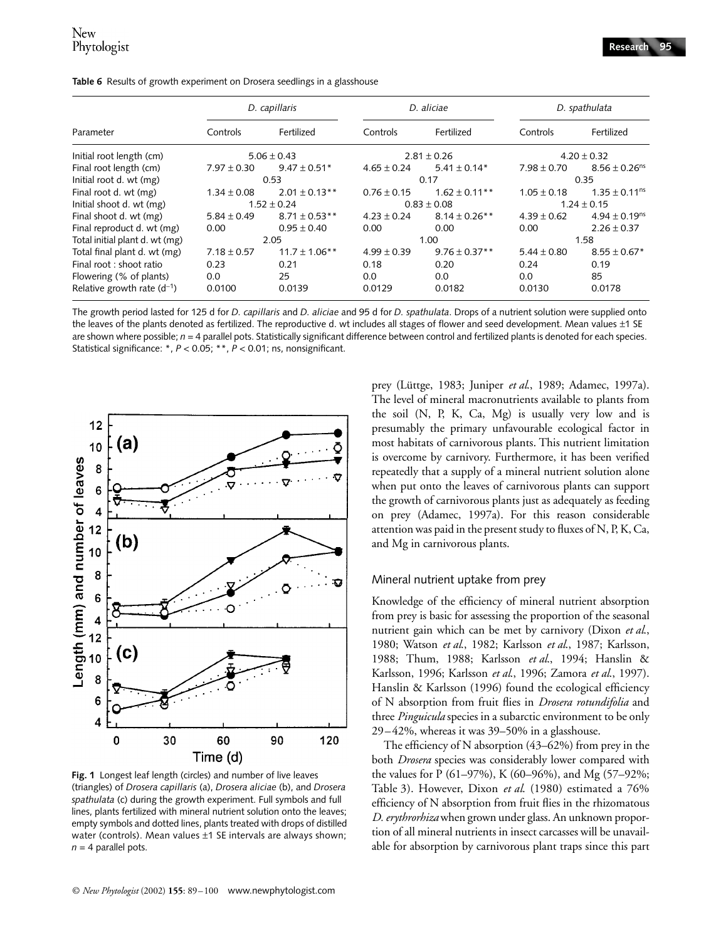|                                 |                 | D. capillaris      |                 | D. aliciae         |                 | D. spathulata                 |  |
|---------------------------------|-----------------|--------------------|-----------------|--------------------|-----------------|-------------------------------|--|
| Parameter                       | Controls        | Fertilized         | Controls        | Fertilized         | Controls        | Fertilized                    |  |
| Initial root length (cm)        |                 | $5.06 \pm 0.43$    |                 | $2.81 \pm 0.26$    |                 | $4.20 \pm 0.32$               |  |
| Final root length (cm)          | $7.97 \pm 0.30$ | $9.47 \pm 0.51*$   | $4.65 \pm 0.24$ | $5.41 \pm 0.14*$   | $7.98 \pm 0.70$ | $8.56 \pm 0.26$ <sup>ns</sup> |  |
| Initial root d. wt (mg)         |                 | 0.53               |                 | 0.17               | 0.35            |                               |  |
| Final root d. wt (mg)           | $1.34 \pm 0.08$ | $2.01 \pm 0.13$ ** | $0.76 \pm 0.15$ | $1.62 \pm 0.11$ ** | $1.05 \pm 0.18$ | $1.35 \pm 0.11$ <sup>ns</sup> |  |
| Initial shoot d. wt (mg)        |                 | $1.52 \pm 0.24$    |                 | $0.83 \pm 0.08$    |                 | $1.24 \pm 0.15$               |  |
| Final shoot d. wt (mg)          | $5.84 \pm 0.49$ | $8.71 \pm 0.53$ ** | $4.23 \pm 0.24$ | $8.14 \pm 0.26$ ** | $4.39 \pm 0.62$ | $4.94 \pm 0.19$ <sup>ns</sup> |  |
| Final reproduct d. wt (mg)      | 0.00            | $0.95 \pm 0.40$    | 0.00            | 0.00               | 0.00            | $2.26 \pm 0.37$               |  |
| Total initial plant d. wt (mg)  |                 | 2.05               |                 | 1.00               |                 | 1.58                          |  |
| Total final plant d. wt (mg)    | $7.18 \pm 0.57$ | $11.7 \pm 1.06$ ** | $4.99 \pm 0.39$ | $9.76 \pm 0.37$ ** | $5.44 \pm 0.80$ | $8.55 \pm 0.67*$              |  |
| Final root : shoot ratio        | 0.23            | 0.21               | 0.18            | 0.20               | 0.24            | 0.19                          |  |
| Flowering (% of plants)         | 0.0             | 25                 | 0.0             | 0.0                | 0.0             | 85                            |  |
| Relative growth rate $(d^{-1})$ | 0.0100          | 0.0139             | 0.0129          | 0.0182             | 0.0130          | 0.0178                        |  |

**Table 6** Results of growth experiment on Drosera seedlings in a glasshouse

The growth period lasted for 125 d for *D. capillaris* and *D. aliciae* and 95 d for *D. spathulata*. Drops of a nutrient solution were supplied onto the leaves of the plants denoted as fertilized. The reproductive d. wt includes all stages of flower and seed development. Mean values  $\pm 1$  SE are shown where possible;  $n = 4$  parallel pots. Statistically significant difference between control and fertilized plants is denoted for each species. Statistical significance: \*, *P* < 0.05; \*\*, *P* < 0.01; ns, nonsignificant.



**Fig. 1** Longest leaf length (circles) and number of live leaves (triangles) of *Drosera capillaris* (a), *Drosera aliciae* (b), and *Drosera spathulata* (c) during the growth experiment. Full symbols and full lines, plants fertilized with mineral nutrient solution onto the leaves; empty symbols and dotted lines, plants treated with drops of distilled water (controls). Mean values ±1 SE intervals are always shown;  $n = 4$  parallel pots.

prey (Lüttge, 1983; Juniper *et al*., 1989; Adamec, 1997a). The level of mineral macronutrients available to plants from the soil (N, P, K, Ca, Mg) is usually very low and is presumably the primary unfavourable ecological factor in most habitats of carnivorous plants. This nutrient limitation is overcome by carnivory. Furthermore, it has been verified repeatedly that a supply of a mineral nutrient solution alone when put onto the leaves of carnivorous plants can support the growth of carnivorous plants just as adequately as feeding on prey (Adamec, 1997a). For this reason considerable attention was paid in the present study to fluxes of N, P, K, Ca, and Mg in carnivorous plants.

#### Mineral nutrient uptake from prey

Knowledge of the efficiency of mineral nutrient absorption from prey is basic for assessing the proportion of the seasonal nutrient gain which can be met by carnivory (Dixon *et al*., 1980; Watson *et al*., 1982; Karlsson *et al*., 1987; Karlsson, 1988; Thum, 1988; Karlsson *et al*., 1994; Hanslin & Karlsson, 1996; Karlsson *et al*., 1996; Zamora *et al*., 1997). Hanslin & Karlsson (1996) found the ecological efficiency of N absorption from fruit flies in *Drosera rotundifolia* and three *Pinguicula* species in a subarctic environment to be only 29–42%, whereas it was 39–50% in a glasshouse.

The efficiency of N absorption (43–62%) from prey in the both *Drosera* species was considerably lower compared with the values for P (61–97%), K (60–96%), and Mg (57–92%; Table 3). However, Dixon *et al*. (1980) estimated a 76% efficiency of N absorption from fruit flies in the rhizomatous *D. erythrorhiza* when grown under glass. An unknown proportion of all mineral nutrients in insect carcasses will be unavailable for absorption by carnivorous plant traps since this part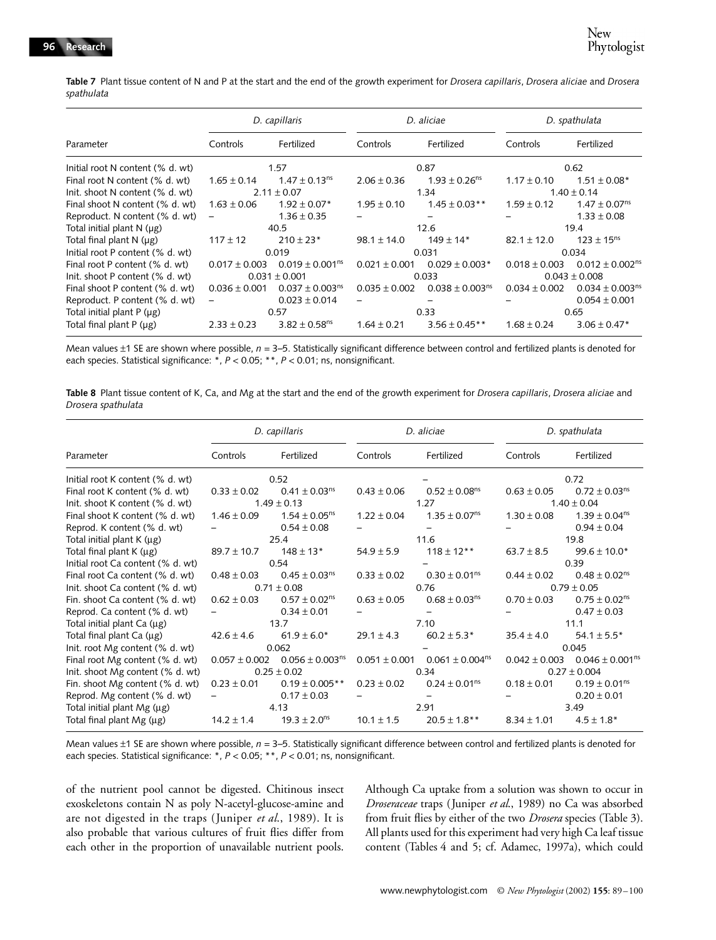**Table 7** Plant tissue content of N and P at the start and the end of the growth experiment for *Drosera capillaris*, *Drosera aliciae* and *Drosera spathulata*

|                                  |                   | D. capillaris                   |                   | D. aliciae                      |                   | D. spathulata                   |
|----------------------------------|-------------------|---------------------------------|-------------------|---------------------------------|-------------------|---------------------------------|
| Parameter                        | Controls          | Fertilized                      | Controls          | Fertilized                      | Controls          | Fertilized                      |
| Initial root N content (% d. wt) |                   | 1.57                            |                   | 0.87                            |                   | 0.62                            |
| Final root N content (% d. wt)   | $1.65 \pm 0.14$   | $1.47 \pm 0.13$ <sup>ns</sup>   | $2.06 \pm 0.36$   | $1.93 \pm 0.26$ <sup>ns</sup>   | $1.17 \pm 0.10$   | $1.51 \pm 0.08*$                |
| Init. shoot N content (% d. wt)  |                   | $2.11 \pm 0.07$                 |                   | 1.34                            |                   | $1.40 \pm 0.14$                 |
| Final shoot N content (% d. wt)  | $1.63 \pm 0.06$   | $1.92 \pm 0.07*$                | $1.95 \pm 0.10$   | $1.45 \pm 0.03$ **              | $1.59 \pm 0.12$   | $1.47 \pm 0.07$ <sup>ns</sup>   |
| Reproduct. N content (% d. wt)   |                   | $1.36 \pm 0.35$                 |                   |                                 |                   | $1.33 \pm 0.08$                 |
| Total initial plant $N(\mu g)$   |                   | 40.5                            |                   | 12.6                            |                   | 19.4                            |
| Total final plant N (µg)         | $117 \pm 12$      | $210 \pm 23*$                   | $98.1 \pm 14.0$   | $149 \pm 14*$                   | $82.1 \pm 12.0$   | $123 \pm 15^{ns}$               |
| Initial root P content (% d. wt) |                   | 0.019                           |                   | 0.031                           |                   | 0.034                           |
| Final root P content (% d. wt)   | $0.017 \pm 0.003$ | $0.019 \pm 0.001$ <sup>ns</sup> | $0.021 \pm 0.001$ | $0.029 \pm 0.003*$              | $0.018 \pm 0.003$ | $0.012 \pm 0.002$ <sup>ns</sup> |
| Init. shoot P content (% d. wt)  |                   | $0.031 \pm 0.001$               |                   | 0.033                           |                   | $0.043 \pm 0.008$               |
| Final shoot P content (% d. wt)  | $0.036 \pm 0.001$ | $0.037 \pm 0.003$ <sup>ns</sup> | $0.035 \pm 0.002$ | $0.038 \pm 0.003$ <sup>ns</sup> | $0.034 \pm 0.002$ | $0.034 \pm 0.003$ <sup>ns</sup> |
| Reproduct. P content (% d. wt)   |                   | $0.023 \pm 0.014$               |                   |                                 |                   | $0.054 \pm 0.001$               |
| Total initial plant $P(\mu g)$   |                   | 0.57                            |                   | 0.33                            |                   | 0.65                            |
| Total final plant $P(\mu g)$     | $2.33 \pm 0.23$   | $3.82 \pm 0.58$ <sup>ns</sup>   | $1.64 \pm 0.21$   | $3.56 \pm 0.45**$               | $1.68 \pm 0.24$   | $3.06 \pm 0.47*$                |

Mean values ±1 SE are shown where possible, *n* = 3–5. Statistically significant difference between control and fertilized plants is denoted for each species. Statistical significance: \*, *P* < 0.05; \*\*, *P* < 0.01; ns, nonsignificant.

**Table 8** Plant tissue content of K, Ca, and Mg at the start and the end of the growth experiment for *Drosera capillaris*, *Drosera aliciae* and *Drosera spathulata*

|                                   |                   | D. capillaris                 |                   | D. aliciae                    |                   | D. spathulata                   |
|-----------------------------------|-------------------|-------------------------------|-------------------|-------------------------------|-------------------|---------------------------------|
| Parameter                         | Controls          | Fertilized                    | Controls          | Fertilized                    | Controls          | Fertilized                      |
| Initial root K content (% d. wt)  |                   | 0.52                          |                   |                               |                   | 0.72                            |
| Final root K content (% d. wt)    | $0.33 \pm 0.02$   | $0.41 \pm 0.03$ <sup>ns</sup> | $0.43 \pm 0.06$   | $0.52 \pm 0.08$ <sup>ns</sup> | $0.63 \pm 0.05$   | $0.72 \pm 0.03$ <sup>ns</sup>   |
| Init. shoot K content (% d. wt)   |                   | $1.49 \pm 0.13$               |                   | 1.27                          |                   | $1.40 \pm 0.04$                 |
| Final shoot K content (% d. wt)   | $1.46 \pm 0.09$   | $1.54 \pm 0.05$ <sup>ns</sup> | $1.22 \pm 0.04$   | $1.35 \pm 0.07^{ns}$          | $1.30 \pm 0.08$   | $1.39 \pm 0.04^{ns}$            |
| Reprod. K content (% d. wt)       |                   | $0.54 \pm 0.08$               |                   |                               |                   | $0.94 \pm 0.04$                 |
| Total initial plant K (µg)        |                   | 25.4                          |                   | 11.6                          |                   | 19.8                            |
| Total final plant K (µg)          | $89.7 \pm 10.7$   | $148 \pm 13*$                 | $54.9 \pm 5.9$    | $118 \pm 12***$               | $63.7 \pm 8.5$    | $99.6 \pm 10.0*$                |
| Initial root Ca content (% d. wt) |                   | 0.54                          |                   |                               |                   | 0.39                            |
| Final root Ca content (% d. wt)   | $0.48 \pm 0.03$   | $0.45 \pm 0.03$ <sup>ns</sup> | $0.33 \pm 0.02$   | $0.30 \pm 0.01^{ns}$          | $0.44 \pm 0.02$   | $0.48 \pm 0.02^{ns}$            |
| Init. shoot Ca content (% d. wt)  |                   | $0.71 \pm 0.08$               |                   | 0.76                          |                   | $0.79 \pm 0.05$                 |
| Fin. shoot Ca content (% d. wt)   | $0.62 \pm 0.03$   | $0.57 \pm 0.02$ <sup>ns</sup> | $0.63 \pm 0.05$   | $0.68 \pm 0.03$ <sup>ns</sup> | $0.70 \pm 0.03$   | $0.75 \pm 0.02^{ns}$            |
| Reprod. Ca content (% d. wt)      |                   | $0.34 \pm 0.01$               |                   |                               |                   | $0.47 \pm 0.03$                 |
| Total initial plant Ca (µg)       |                   | 13.7                          |                   | 7.10                          |                   | 11.1                            |
| Total final plant Ca (µg)         | $42.6 \pm 4.6$    | $61.9 \pm 6.0*$               | $29.1 \pm 4.3$    | $60.2 \pm 5.3*$               | $35.4 \pm 4.0$    | $54.1 \pm 5.5*$                 |
| Init. root Mg content (% d. wt)   |                   | 0.062                         |                   |                               |                   | 0.045                           |
| Final root Mg content (% d. wt)   | $0.057 \pm 0.002$ | $0.056 \pm 0.003^{ns}$        | $0.051 \pm 0.001$ | $0.061 \pm 0.004^{ns}$        | $0.042 \pm 0.003$ | $0.046 \pm 0.001$ <sup>ns</sup> |
| Init. shoot Mg content (% d. wt)  |                   | $0.25 \pm 0.02$               |                   | 0.34                          |                   | $0.27 \pm 0.004$                |
| Fin. shoot Mg content (% d. wt)   | $0.23 \pm 0.01$   | $0.19 \pm 0.005$ **           | $0.23 \pm 0.02$   | $0.24 \pm 0.01^{\text{ns}}$   | $0.18 \pm 0.01$   | $0.19 \pm 0.01^{ns}$            |
| Reprod. Mg content (% d. wt)      |                   | $0.17 \pm 0.03$               |                   |                               |                   | $0.20 \pm 0.01$                 |
| Total initial plant Mg (µg)       |                   | 4.13                          |                   | 2.91                          |                   | 3.49                            |
| Total final plant Mg (µg)         | $14.2 \pm 1.4$    | $19.3 \pm 2.0$ <sup>ns</sup>  | $10.1 \pm 1.5$    | $20.5 \pm 1.8$ **             | $8.34 \pm 1.01$   | $4.5 \pm 1.8*$                  |

Mean values ±1 SE are shown where possible,  $n = 3-5$ . Statistically significant difference between control and fertilized plants is denoted for each species. Statistical significance: \*, *P* < 0.05; \*\*, *P* < 0.01; ns, nonsignificant.

of the nutrient pool cannot be digested. Chitinous insect exoskeletons contain N as poly N-acetyl-glucose-amine and are not digested in the traps (Juniper *et al*., 1989). It is also probable that various cultures of fruit flies differ from each other in the proportion of unavailable nutrient pools.

Although Ca uptake from a solution was shown to occur in *Droseraceae* traps (Juniper *et al*., 1989) no Ca was absorbed from fruit flies by either of the two *Drosera* species (Table 3). All plants used for this experiment had very high Ca leaf tissue content (Tables 4 and 5; cf. Adamec, 1997a), which could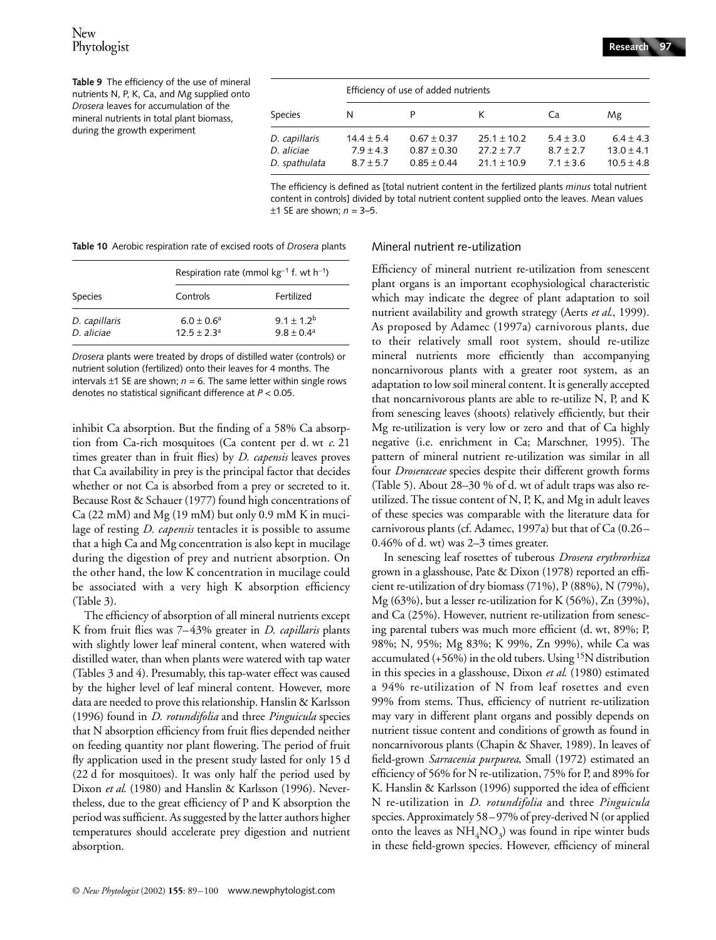# New Phytologist

**Table 9** The efficiency of the use of mineral nutrients N, P, K, Ca, and Mg supplied onto *Drosera* leaves for accumulation of the mineral nutrients in total plant biomass, during the growth experiment

|               | Efficiency of use of added nutrients |                 |                 |               |                |  |  |  |  |  |  |
|---------------|--------------------------------------|-----------------|-----------------|---------------|----------------|--|--|--|--|--|--|
| Species       | N                                    |                 | к               | Ca            | Mg             |  |  |  |  |  |  |
| D. capillaris | $14.4 \pm 5.4$                       | $0.67 \pm 0.37$ | $25.1 \pm 10.2$ | $5.4 \pm 3.0$ | $6.4 \pm 4.3$  |  |  |  |  |  |  |
| D. aliciae    | $7.9 \pm 4.3$                        | $0.87 \pm 0.30$ | $27.2 + 7.7$    | $8.7 + 2.7$   | $13.0 \pm 4.1$ |  |  |  |  |  |  |
| D. spathulata | $8.7 + 5.7$                          | $0.85 \pm 0.44$ | $21.1 + 10.9$   | $7.1 \pm 3.6$ | $10.5 \pm 4.8$ |  |  |  |  |  |  |

The efficiency is defined as [total nutrient content in the fertilized plants *minus* total nutrient content in controls] divided by total nutrient content supplied onto the leaves. Mean values  $±1$  SE are shown;  $n = 3-5$ .

**Table 10** Aerobic respiration rate of excised roots of *Drosera* plants

|                |                 | Respiration rate (mmol $kg^{-1}$ f. wt h <sup>-1</sup> ) |
|----------------|-----------------|----------------------------------------------------------|
| <b>Species</b> | Controls        | Fertilized                                               |
| D. capillaris  | $6.0 \pm 0.6^a$ | $9.1 + 1.2^{b}$                                          |
| D. aliciae     | $12.5 + 2.3a$   | $9.8 + 0.4^a$                                            |

*Drosera* plants were treated by drops of distilled water (controls) or nutrient solution (fertilized) onto their leaves for 4 months. The intervals  $\pm$ 1 SE are shown;  $n = 6$ . The same letter within single rows denotes no statistical significant difference at *P* < 0.05.

inhibit Ca absorption. But the finding of a 58% Ca absorption from Ca-rich mosquitoes (Ca content per d. wt *c*. 21 times greater than in fruit flies) by *D. capensis* leaves proves that Ca availability in prey is the principal factor that decides whether or not Ca is absorbed from a prey or secreted to it. Because Rost & Schauer (1977) found high concentrations of  $Ca(22 \text{ mM})$  and  $Mg(19 \text{ mM})$  but only 0.9 mM K in mucilage of resting *D. capensis* tentacles it is possible to assume that a high Ca and Mg concentration is also kept in mucilage during the digestion of prey and nutrient absorption. On the other hand, the low K concentration in mucilage could be associated with a very high K absorption efficiency (Table 3).

The efficiency of absorption of all mineral nutrients except K from fruit flies was 7–43% greater in *D. capillaris* plants with slightly lower leaf mineral content, when watered with distilled water, than when plants were watered with tap water (Tables 3 and 4). Presumably, this tap-water effect was caused by the higher level of leaf mineral content. However, more data are needed to prove this relationship. Hanslin & Karlsson (1996) found in *D. rotundifolia* and three *Pinguicula* species that N absorption efficiency from fruit flies depended neither on feeding quantity nor plant flowering. The period of fruit fly application used in the present study lasted for only 15 d (22 d for mosquitoes). It was only half the period used by Dixon *et al*. (1980) and Hanslin & Karlsson (1996). Nevertheless, due to the great efficiency of P and K absorption the period was sufficient. As suggested by the latter authors higher temperatures should accelerate prey digestion and nutrient absorption.

#### Mineral nutrient re-utilization

Efficiency of mineral nutrient re-utilization from senescent plant organs is an important ecophysiological characteristic which may indicate the degree of plant adaptation to soil nutrient availability and growth strategy (Aerts *et al*., 1999). As proposed by Adamec (1997a) carnivorous plants, due to their relatively small root system, should re-utilize mineral nutrients more efficiently than accompanying noncarnivorous plants with a greater root system, as an adaptation to low soil mineral content. It is generally accepted that noncarnivorous plants are able to re-utilize N, P, and K from senescing leaves (shoots) relatively efficiently, but their Mg re-utilization is very low or zero and that of Ca highly negative (i.e. enrichment in Ca; Marschner, 1995). The pattern of mineral nutrient re-utilization was similar in all four *Droseraceae* species despite their different growth forms (Table 5). About 28–30 % of d. wt of adult traps was also reutilized. The tissue content of N, P, K, and Mg in adult leaves of these species was comparable with the literature data for carnivorous plants (cf. Adamec, 1997a) but that of Ca (0.26– 0.46% of d. wt) was 2–3 times greater.

In senescing leaf rosettes of tuberous *Drosera erythrorhiza* grown in a glasshouse, Pate & Dixon (1978) reported an efficient re-utilization of dry biomass (71%), P (88%), N (79%), Mg (63%), but a lesser re-utilization for K (56%), Zn (39%), and Ca (25%). However, nutrient re-utilization from senescing parental tubers was much more efficient (d. wt, 89%; P, 98%; N, 95%; Mg 83%; K 99%, Zn 99%), while Ca was accumulated (+56%) in the old tubers. Using  $15N$  distribution in this species in a glasshouse, Dixon *et al*. (1980) estimated a 94% re-utilization of N from leaf rosettes and even 99% from stems. Thus, efficiency of nutrient re-utilization may vary in different plant organs and possibly depends on nutrient tissue content and conditions of growth as found in noncarnivorous plants (Chapin & Shaver, 1989). In leaves of field-grown *Sarracenia purpurea*, Small (1972) estimated an efficiency of 56% for N re-utilization, 75% for P, and 89% for K. Hanslin & Karlsson (1996) supported the idea of efficient N re-utilization in *D. rotundifolia* and three *Pinguicula* species. Approximately 58–97% of prey-derived N (or applied onto the leaves as  $NH<sub>4</sub>NO<sub>3</sub>$ ) was found in ripe winter buds in these field-grown species. However, efficiency of mineral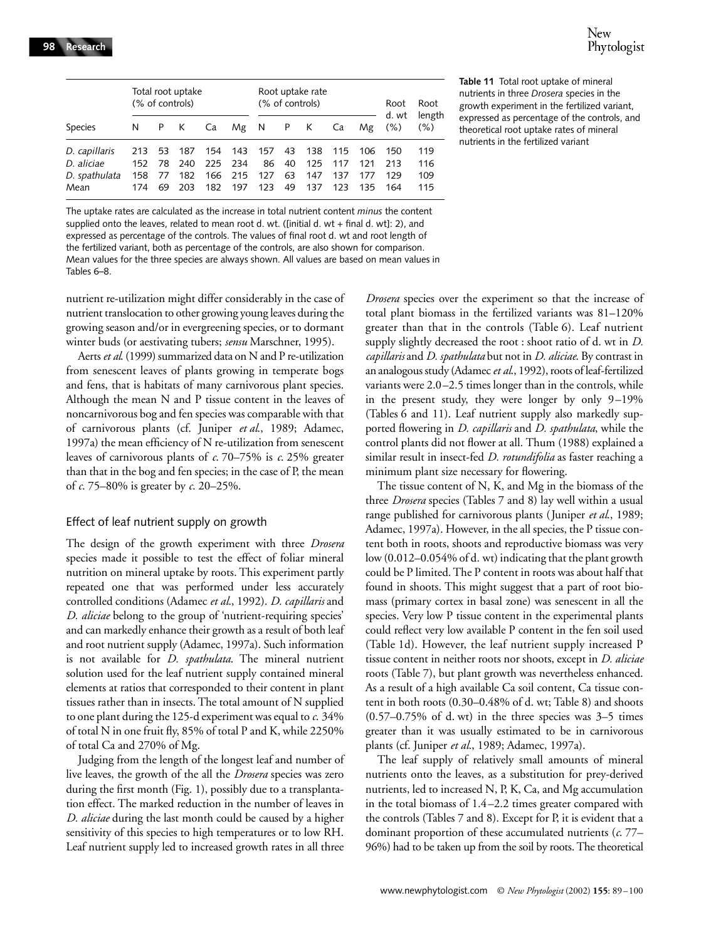|                                                      |                          |                      | Total root uptake<br>(% of controls) |                          |                          |                         |                      | Root uptake rate<br>(% of controls) |                          |                          | Root<br>d. wt            | Root                     |
|------------------------------------------------------|--------------------------|----------------------|--------------------------------------|--------------------------|--------------------------|-------------------------|----------------------|-------------------------------------|--------------------------|--------------------------|--------------------------|--------------------------|
| <b>Species</b>                                       | N                        | P.                   | K                                    | Ca                       | Mg N                     |                         | P                    | $(\% )$<br>K<br>Ca<br>Mg            | length<br>$(\% )$        |                          |                          |                          |
| D. capillaris<br>D. aliciae<br>D. spathulata<br>Mean | 213<br>152<br>158<br>174 | 53<br>78<br>77<br>69 | 187<br>240<br>182<br>203             | 154<br>225<br>166<br>182 | 143<br>234<br>215<br>197 | 157<br>86<br>127<br>123 | 43<br>40<br>63<br>49 | 138<br>125<br>147<br>137            | 115<br>117<br>137<br>123 | 106<br>121<br>177<br>135 | 150<br>213<br>129<br>164 | 119<br>116<br>109<br>115 |

The uptake rates are calculated as the increase in total nutrient content *minus* the content supplied onto the leaves, related to mean root d. wt. ([initial d. wt + final d. wt]: 2), and expressed as percentage of the controls. The values of final root d. wt and root length of the fertilized variant, both as percentage of the controls, are also shown for comparison. Mean values for the three species are always shown. All values are based on mean values in Tables 6–8.

nutrient re-utilization might differ considerably in the case of nutrient translocation to other growing young leaves during the growing season and/or in evergreening species, or to dormant winter buds (or aestivating tubers; *sensu* Marschner, 1995).

Aerts *et al*. (1999) summarized data on N and P re-utilization from senescent leaves of plants growing in temperate bogs and fens, that is habitats of many carnivorous plant species. Although the mean N and P tissue content in the leaves of noncarnivorous bog and fen species was comparable with that of carnivorous plants (cf. Juniper *et al*., 1989; Adamec, 1997a) the mean efficiency of N re-utilization from senescent leaves of carnivorous plants of *c*. 70–75% is *c*. 25% greater than that in the bog and fen species; in the case of P, the mean of *c*. 75–80% is greater by *c*. 20–25%.

#### Effect of leaf nutrient supply on growth

The design of the growth experiment with three *Drosera* species made it possible to test the effect of foliar mineral nutrition on mineral uptake by roots. This experiment partly repeated one that was performed under less accurately controlled conditions (Adamec *et al*., 1992). *D. capillaris* and *D. aliciae* belong to the group of 'nutrient-requiring species' and can markedly enhance their growth as a result of both leaf and root nutrient supply (Adamec, 1997a). Such information is not available for *D. spathulata*. The mineral nutrient solution used for the leaf nutrient supply contained mineral elements at ratios that corresponded to their content in plant tissues rather than in insects. The total amount of N supplied to one plant during the 125-d experiment was equal to *c*. 34% of total N in one fruit fly, 85% of total P and K, while 2250% of total Ca and 270% of Mg.

Judging from the length of the longest leaf and number of live leaves, the growth of the all the *Drosera* species was zero during the first month (Fig. 1), possibly due to a transplantation effect. The marked reduction in the number of leaves in *D. aliciae* during the last month could be caused by a higher sensitivity of this species to high temperatures or to low RH. Leaf nutrient supply led to increased growth rates in all three **Table 11** Total root uptake of mineral nutrients in three *Drosera* species in the growth experiment in the fertilized variant, expressed as percentage of the controls, and theoretical root uptake rates of mineral nutrients in the fertilized variant

*Drosera* species over the experiment so that the increase of total plant biomass in the fertilized variants was 81–120% greater than that in the controls (Table 6). Leaf nutrient supply slightly decreased the root : shoot ratio of d. wt in *D. capillaris* and *D. spathulata* but not in *D. aliciae*. By contrast in an analogous study (Adamec *et al*., 1992), roots of leaf-fertilized variants were 2.0–2.5 times longer than in the controls, while in the present study, they were longer by only 9–19% (Tables 6 and 11). Leaf nutrient supply also markedly supported flowering in *D. capillaris* and *D. spathulata*, while the control plants did not flower at all. Thum (1988) explained a similar result in insect-fed *D. rotundifolia* as faster reaching a minimum plant size necessary for flowering.

The tissue content of N, K, and Mg in the biomass of the three *Drosera* species (Tables 7 and 8) lay well within a usual range published for carnivorous plants (Juniper *et al*., 1989; Adamec, 1997a). However, in the all species, the P tissue content both in roots, shoots and reproductive biomass was very low (0.012–0.054% of d. wt) indicating that the plant growth could be P limited. The P content in roots was about half that found in shoots. This might suggest that a part of root biomass (primary cortex in basal zone) was senescent in all the species. Very low P tissue content in the experimental plants could reflect very low available P content in the fen soil used (Table 1d). However, the leaf nutrient supply increased P tissue content in neither roots nor shoots, except in *D. aliciae* roots (Table 7), but plant growth was nevertheless enhanced. As a result of a high available Ca soil content, Ca tissue content in both roots (0.30–0.48% of d. wt; Table 8) and shoots  $(0.57-0.75\%$  of d. wt) in the three species was  $3-5$  times greater than it was usually estimated to be in carnivorous plants (cf. Juniper *et al*., 1989; Adamec, 1997a).

The leaf supply of relatively small amounts of mineral nutrients onto the leaves, as a substitution for prey-derived nutrients, led to increased N, P, K, Ca, and Mg accumulation in the total biomass of 1.4–2.2 times greater compared with the controls (Tables 7 and 8). Except for P, it is evident that a dominant proportion of these accumulated nutrients (*c*. 77– 96%) had to be taken up from the soil by roots. The theoretical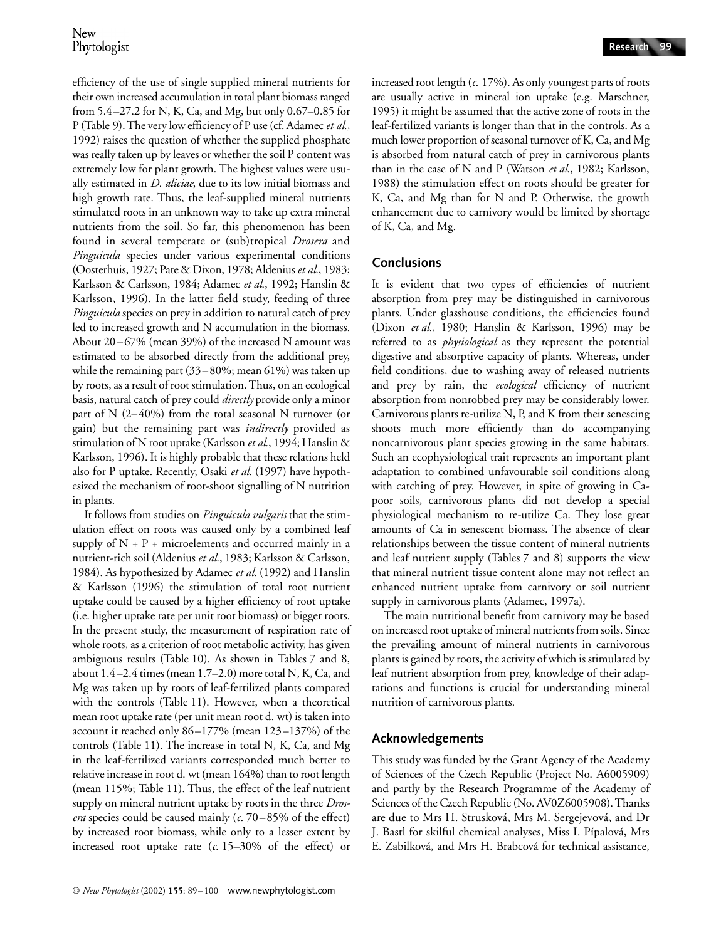efficiency of the use of single supplied mineral nutrients for their own increased accumulation in total plant biomass ranged from 5.4–27.2 for N, K, Ca, and Mg, but only 0.67–0.85 for P (Table 9). The very low efficiency of P use (cf. Adamec *et al*., 1992) raises the question of whether the supplied phosphate was really taken up by leaves or whether the soil P content was extremely low for plant growth. The highest values were usually estimated in *D. aliciae*, due to its low initial biomass and high growth rate. Thus, the leaf-supplied mineral nutrients stimulated roots in an unknown way to take up extra mineral nutrients from the soil. So far, this phenomenon has been found in several temperate or (sub)tropical *Drosera* and *Pinguicula* species under various experimental conditions (Oosterhuis, 1927; Pate & Dixon, 1978; Aldenius *et al*., 1983; Karlsson & Carlsson, 1984; Adamec *et al*., 1992; Hanslin & Karlsson, 1996). In the latter field study, feeding of three *Pinguicula* species on prey in addition to natural catch of prey led to increased growth and N accumulation in the biomass. About 20–67% (mean 39%) of the increased N amount was estimated to be absorbed directly from the additional prey, while the remaining part (33–80%; mean 61%) was taken up by roots, as a result of root stimulation. Thus, on an ecological basis, natural catch of prey could *directly* provide only a minor part of N (2–40%) from the total seasonal N turnover (or gain) but the remaining part was *indirectly* provided as stimulation of N root uptake (Karlsson *et al*., 1994; Hanslin & Karlsson, 1996). It is highly probable that these relations held also for P uptake. Recently, Osaki *et al*. (1997) have hypothesized the mechanism of root-shoot signalling of N nutrition in plants.

It follows from studies on *Pinguicula vulgaris* that the stimulation effect on roots was caused only by a combined leaf supply of  $N + P$  + microelements and occurred mainly in a nutrient-rich soil (Aldenius *et al*., 1983; Karlsson & Carlsson, 1984). As hypothesized by Adamec *et al*. (1992) and Hanslin & Karlsson (1996) the stimulation of total root nutrient uptake could be caused by a higher efficiency of root uptake (i.e. higher uptake rate per unit root biomass) or bigger roots. In the present study, the measurement of respiration rate of whole roots, as a criterion of root metabolic activity, has given ambiguous results (Table 10). As shown in Tables 7 and 8, about 1.4–2.4 times (mean 1.7–2.0) more total N, K, Ca, and Mg was taken up by roots of leaf-fertilized plants compared with the controls (Table 11). However, when a theoretical mean root uptake rate (per unit mean root d. wt) is taken into account it reached only 86–177% (mean 123–137%) of the controls (Table 11). The increase in total N, K, Ca, and Mg in the leaf-fertilized variants corresponded much better to relative increase in root d. wt (mean 164%) than to root length (mean 115%; Table 11). Thus, the effect of the leaf nutrient supply on mineral nutrient uptake by roots in the three *Drosera* species could be caused mainly (*c*. 70–85% of the effect) by increased root biomass, while only to a lesser extent by increased root uptake rate (*c*. 15–30% of the effect) or

increased root length (*c*. 17%). As only youngest parts of roots are usually active in mineral ion uptake (e.g. Marschner, 1995) it might be assumed that the active zone of roots in the leaf-fertilized variants is longer than that in the controls. As a much lower proportion of seasonal turnover of K, Ca, and Mg is absorbed from natural catch of prey in carnivorous plants than in the case of N and P (Watson *et al*., 1982; Karlsson, 1988) the stimulation effect on roots should be greater for K, Ca, and Mg than for N and P. Otherwise, the growth enhancement due to carnivory would be limited by shortage of K, Ca, and Mg.

### **Conclusions**

It is evident that two types of efficiencies of nutrient absorption from prey may be distinguished in carnivorous plants. Under glasshouse conditions, the efficiencies found (Dixon *et al*., 1980; Hanslin & Karlsson, 1996) may be referred to as *physiological* as they represent the potential digestive and absorptive capacity of plants. Whereas, under field conditions, due to washing away of released nutrients and prey by rain, the *ecological* efficiency of nutrient absorption from nonrobbed prey may be considerably lower. Carnivorous plants re-utilize N, P, and K from their senescing shoots much more efficiently than do accompanying noncarnivorous plant species growing in the same habitats. Such an ecophysiological trait represents an important plant adaptation to combined unfavourable soil conditions along with catching of prey. However, in spite of growing in Capoor soils, carnivorous plants did not develop a special physiological mechanism to re-utilize Ca. They lose great amounts of Ca in senescent biomass. The absence of clear relationships between the tissue content of mineral nutrients and leaf nutrient supply (Tables 7 and 8) supports the view that mineral nutrient tissue content alone may not reflect an enhanced nutrient uptake from carnivory or soil nutrient supply in carnivorous plants (Adamec, 1997a).

The main nutritional benefit from carnivory may be based on increased root uptake of mineral nutrients from soils. Since the prevailing amount of mineral nutrients in carnivorous plants is gained by roots, the activity of which is stimulated by leaf nutrient absorption from prey, knowledge of their adaptations and functions is crucial for understanding mineral nutrition of carnivorous plants.

# **Acknowledgements**

This study was funded by the Grant Agency of the Academy of Sciences of the Czech Republic (Project No. A6005909) and partly by the Research Programme of the Academy of Sciences of the Czech Republic (No. AV0Z6005908). Thanks are due to Mrs H. Strusková, Mrs M. Sergejevová, and Dr J. Bastl for skilful chemical analyses, Miss I. Pípalová, Mrs E. Zabilková, and Mrs H. Brabcová for technical assistance,